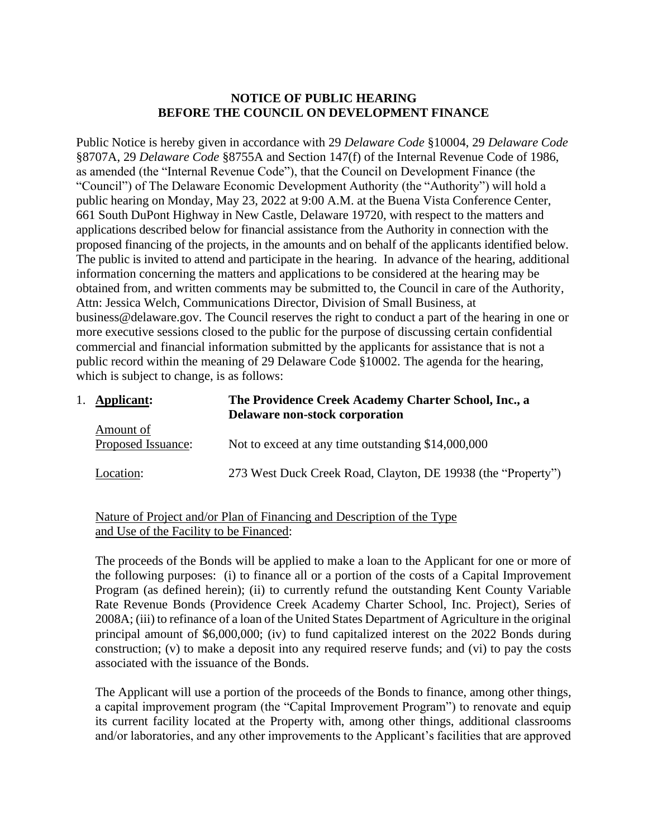## **NOTICE OF PUBLIC HEARING BEFORE THE COUNCIL ON DEVELOPMENT FINANCE**

Public Notice is hereby given in accordance with 29 *Delaware Code* §10004, 29 *Delaware Code* §8707A, 29 *Delaware Code* §8755A and Section 147(f) of the Internal Revenue Code of 1986, as amended (the "Internal Revenue Code"), that the Council on Development Finance (the "Council") of The Delaware Economic Development Authority (the "Authority") will hold a public hearing on Monday, May 23, 2022 at 9:00 A.M. at the Buena Vista Conference Center, 661 South DuPont Highway in New Castle, Delaware 19720, with respect to the matters and applications described below for financial assistance from the Authority in connection with the proposed financing of the projects, in the amounts and on behalf of the applicants identified below. The public is invited to attend and participate in the hearing. In advance of the hearing, additional information concerning the matters and applications to be considered at the hearing may be obtained from, and written comments may be submitted to, the Council in care of the Authority, Attn: Jessica Welch, Communications Director, Division of Small Business, at business@delaware.gov. The Council reserves the right to conduct a part of the hearing in one or more executive sessions closed to the public for the purpose of discussing certain confidential commercial and financial information submitted by the applicants for assistance that is not a public record within the meaning of 29 Delaware Code §10002. The agenda for the hearing, which is subject to change, is as follows:

| 1. Applicant:                   | The Providence Creek Academy Charter School, Inc., a<br>Delaware non-stock corporation |
|---------------------------------|----------------------------------------------------------------------------------------|
| Amount of<br>Proposed Issuance: | Not to exceed at any time outstanding \$14,000,000                                     |
| Location:                       | 273 West Duck Creek Road, Clayton, DE 19938 (the "Property")                           |

## Nature of Project and/or Plan of Financing and Description of the Type and Use of the Facility to be Financed:

The proceeds of the Bonds will be applied to make a loan to the Applicant for one or more of the following purposes: (i) to finance all or a portion of the costs of a Capital Improvement Program (as defined herein); (ii) to currently refund the outstanding Kent County Variable Rate Revenue Bonds (Providence Creek Academy Charter School, Inc. Project), Series of 2008A; (iii) to refinance of a loan of the United States Department of Agriculture in the original principal amount of \$6,000,000; (iv) to fund capitalized interest on the 2022 Bonds during construction; (v) to make a deposit into any required reserve funds; and (vi) to pay the costs associated with the issuance of the Bonds.

The Applicant will use a portion of the proceeds of the Bonds to finance, among other things, a capital improvement program (the "Capital Improvement Program") to renovate and equip its current facility located at the Property with, among other things, additional classrooms and/or laboratories, and any other improvements to the Applicant's facilities that are approved